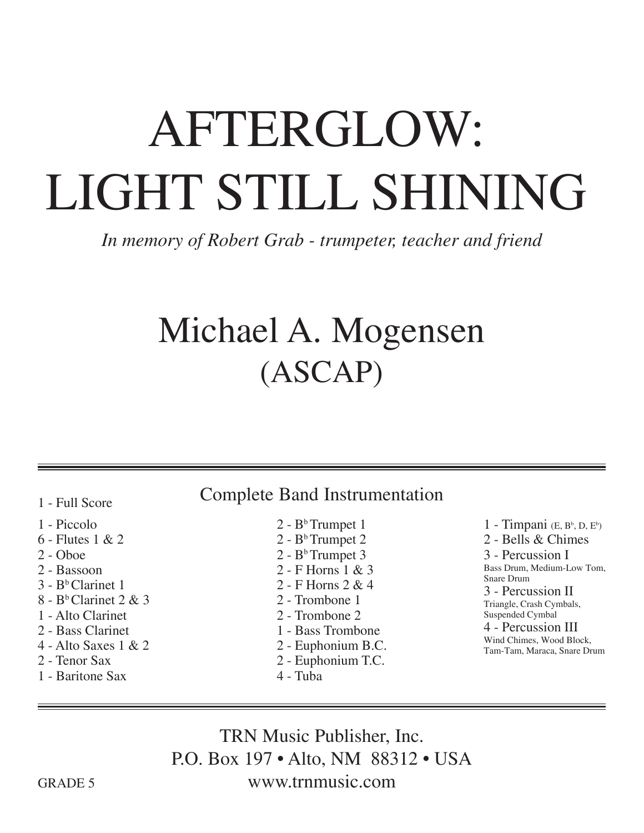## AFTERGLOW: LIGHT STILL SHINING

*In memory of Robert Grab - trumpeter, teacher and friend*

## Michael A. Mogensen (ASCAP)

1 - Full Score

- 1 Piccolo
- 6 Flutes 1 & 2
- 2 Oboe
- 2 Bassoon
- $3 B<sup>b</sup>$  Clarinet 1
- $8 B<sup>b</sup>$  Clarinet 2 & 3
- 1 Alto Clarinet
- 2 Bass Clarinet
- 4 Alto Saxes 1 & 2
- 2 Tenor Sax
- 1 Baritone Sax

## Complete Band Instrumentation

- $2 B<sup>b</sup>$ Trumpet 1
- $2 B<sup>b</sup>$  Trumpet 2  $2 - B<sup>b</sup>$  Trumpet 3 2 - F Horns 1 & 3 2 - F Horns 2 & 4 2 - Trombone 1 2 - Trombone 2 1 - Bass Trombone
	- 2 Euphonium B.C.
- 2 Euphonium T.C.
- 4 Tuba

 $1$  - Timpani (E, Bb, D, Eb) 2 - Bells & Chimes 3 - Percussion I Bass Drum, Medium-Low Tom, Snare Drum 3 - Percussion II Triangle, Crash Cymbals, Suspended Cymbal 4 - Percussion III Wind Chimes, Wood Block,

Tam-Tam, Maraca, Snare Drum

TRN Music Publisher, Inc. P.O. Box 197 • Alto, NM 88312 • USA www.trnmusic.com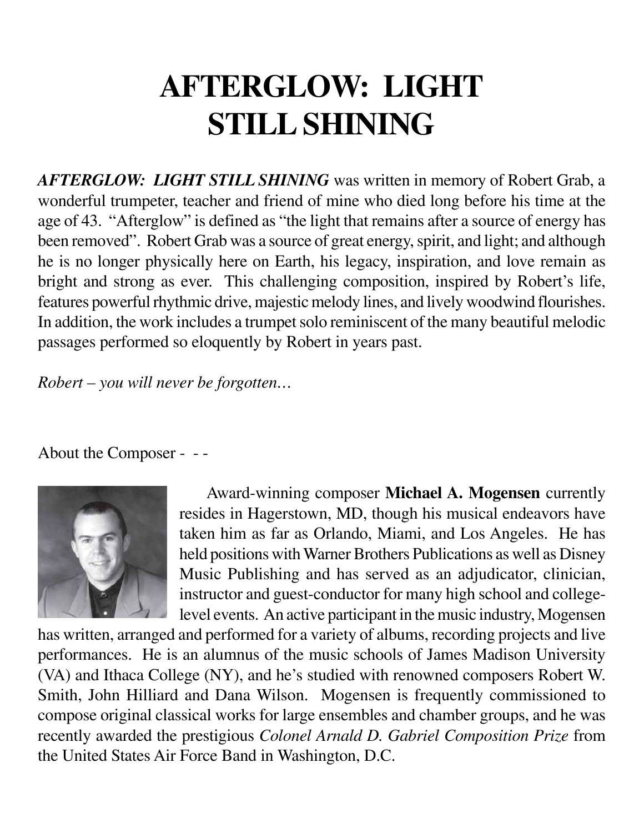## **AFTERGLOW: LIGHT STILL SHINING**

*AFTERGLOW: LIGHT STILL SHINING* was written in memory of Robert Grab, a wonderful trumpeter, teacher and friend of mine who died long before his time at the age of 43. "Afterglow" is defined as "the light that remains after a source of energy has been removed". Robert Grab was a source of great energy, spirit, and light; and although he is no longer physically here on Earth, his legacy, inspiration, and love remain as bright and strong as ever. This challenging composition, inspired by Robert's life, features powerful rhythmic drive, majestic melody lines, and lively woodwind flourishes. In addition, the work includes a trumpet solo reminiscent of the many beautiful melodic passages performed so eloquently by Robert in years past.

*Robert – you will never be forgotten…*

About the Composer - - -



 Award-winning composer **Michael A. Mogensen** currently resides in Hagerstown, MD, though his musical endeavors have taken him as far as Orlando, Miami, and Los Angeles. He has held positions with Warner Brothers Publications as well as Disney Music Publishing and has served as an adjudicator, clinician, instructor and guest-conductor for many high school and collegelevel events. An active participant in the music industry, Mogensen

has written, arranged and performed for a variety of albums, recording projects and live performances. He is an alumnus of the music schools of James Madison University (VA) and Ithaca College (NY), and he's studied with renowned composers Robert W. Smith, John Hilliard and Dana Wilson. Mogensen is frequently commissioned to compose original classical works for large ensembles and chamber groups, and he was recently awarded the prestigious *Colonel Arnald D. Gabriel Composition Prize* from the United States Air Force Band in Washington, D.C.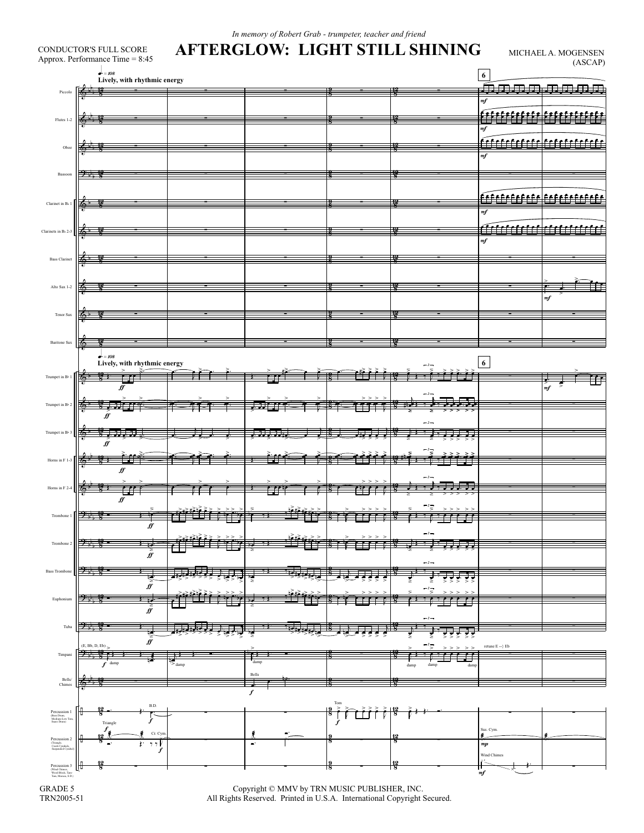| $-108$                     | Approx. Performance Time = 8:45 |             |                       |                               |                                                  | 6                                | (ASCAP)             |
|----------------------------|---------------------------------|-------------|-----------------------|-------------------------------|--------------------------------------------------|----------------------------------|---------------------|
|                            | Lively, with rhythmic energy    |             |                       |                               |                                                  | 典<br>男男男                         | <del>11111111</del> |
|                            |                                 |             |                       |                               |                                                  | mf                               |                     |
|                            |                                 |             |                       |                               |                                                  | <u>\$f\$f\$f\$f\$f\$</u>         |                     |
|                            |                                 |             |                       |                               |                                                  | m f                              |                     |
|                            |                                 |             |                       |                               |                                                  |                                  |                     |
|                            |                                 |             |                       |                               |                                                  | m f                              |                     |
| 7                          |                                 |             |                       |                               |                                                  |                                  |                     |
|                            |                                 |             |                       |                               |                                                  |                                  |                     |
| K                          |                                 |             |                       |                               |                                                  | <u>érfrfrfrfrfr frfrfrfrfrfr</u> |                     |
|                            |                                 |             |                       |                               |                                                  | m f                              |                     |
|                            |                                 |             |                       |                               |                                                  | عثب                              |                     |
|                            |                                 |             |                       |                               |                                                  | mf                               |                     |
|                            |                                 |             |                       |                               |                                                  |                                  |                     |
|                            |                                 |             |                       |                               |                                                  |                                  |                     |
| т.                         |                                 |             |                       |                               |                                                  |                                  |                     |
|                            |                                 |             |                       |                               |                                                  |                                  | mf                  |
|                            |                                 |             |                       |                               |                                                  |                                  |                     |
|                            |                                 |             |                       |                               |                                                  |                                  |                     |
| T.                         |                                 |             |                       |                               |                                                  |                                  |                     |
| $-108$                     |                                 |             |                       |                               |                                                  |                                  |                     |
|                            | Lively, with rhythmic energy    |             |                       |                               |                                                  | 6                                |                     |
|                            | ff                              |             |                       |                               |                                                  |                                  | mf                  |
|                            |                                 |             |                       |                               |                                                  |                                  |                     |
| ff                         | 点弯                              |             |                       |                               |                                                  |                                  |                     |
|                            |                                 |             |                       |                               | $-2-$                                            |                                  |                     |
| ⊯                          | . J. J. J                       |             |                       |                               |                                                  |                                  |                     |
|                            |                                 |             |                       |                               | ో ਵ                                              |                                  |                     |
|                            | f f                             |             |                       |                               |                                                  |                                  |                     |
|                            |                                 |             |                       |                               |                                                  |                                  |                     |
|                            | ₩<br>$f\hspace{-0.1cm}f$        |             |                       |                               |                                                  |                                  |                     |
|                            |                                 |             |                       |                               | $\overline{\phantom{a}}^2$<br>$\overline{\!>}\!$ |                                  |                     |
|                            | ∯                               |             |                       |                               |                                                  |                                  |                     |
|                            |                                 |             | <u>ese v</u>          | $\overline{\phantom{a}}$<br>≖ | $-2-$                                            |                                  |                     |
|                            | ff                              |             |                       |                               |                                                  |                                  |                     |
|                            |                                 |             |                       |                               | $-2-$                                            |                                  |                     |
|                            | $\vec{r}$                       |             | $\geq$                |                               | इ<br>गु                                          |                                  |                     |
|                            |                                 |             |                       | - - - -                       | $\overline{\phantom{a}}^2$<br>, , ,<br>۰         |                                  |                     |
|                            | $f\hspace{-0.1cm}f$             |             |                       |                               |                                                  |                                  |                     |
| ∵                          |                                 |             |                       |                               | $-2-$                                            |                                  |                     |
|                            | ह<br>$f\hspace{-0.1cm}f$        | la alta     |                       |                               | ≥                                                |                                  |                     |
| (E, Bb, D, Eb)<br>m<br>- 1 |                                 |             | - 1                   |                               | $-2-$                                            | retune $E -$ } Eb                |                     |
|                            | damp                            | $\geq$ damp | damp                  |                               | damp<br>damp<br>dam                              |                                  |                     |
|                            |                                 |             | Bells                 |                               |                                                  |                                  |                     |
|                            |                                 |             | f                     |                               |                                                  |                                  |                     |
| 13<br>л                    | $\mathbf{B}.\mathbf{D}.$        |             |                       | Tom<br>g                      |                                                  |                                  |                     |
| п<br>Triangle              | f                               |             |                       | $\overline{\phantom{a}}$      |                                                  |                                  |                     |
| f<br>12                    | Cr. Cyn                         |             |                       |                               | $\frac{12}{8}$                                   | Sus. Cym.<br>ø.                  |                     |
| 8<br>$\blacksquare$        | 7.7<br>Ţ.<br>J                  |             | $\mathbf{m}^{\prime}$ | 8                             |                                                  | $\boldsymbol{m}{\boldsymbol{p}}$ |                     |
|                            |                                 |             |                       |                               |                                                  | Wind Chimes                      |                     |

 $\label{eq:Corr} \mbox{Copyright} \textcircled{C} \mbox{ MMV by TRN MUSIC PUBLISHER, INC.}$  All Rights Reserved. Printed in U.S.A. International Copyright Secured.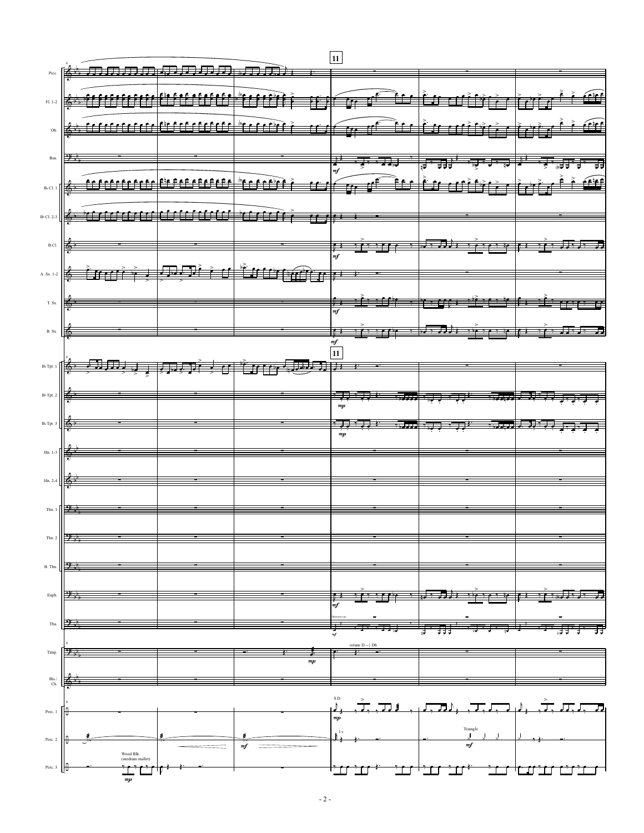|                                                                         |                      |                       |                                              | 11                                   |                                                                                                                                                                                                                                                        |                         |
|-------------------------------------------------------------------------|----------------------|-----------------------|----------------------------------------------|--------------------------------------|--------------------------------------------------------------------------------------------------------------------------------------------------------------------------------------------------------------------------------------------------------|-------------------------|
| Picc.                                                                   |                      | <del>用用用用用用用用用用</del> |                                              |                                      |                                                                                                                                                                                                                                                        |                         |
|                                                                         |                      |                       |                                              |                                      |                                                                                                                                                                                                                                                        |                         |
| $F1. 1-2$                                                               |                      |                       |                                              |                                      | <u>المنفقة المنافذة المنافذة المنافس المنافس المنافضة المنافضة المنافسة المنافسة المنافسة المنافسة المنافسة المنافسة المنافسة المنافسة المنافسة المنافسة المنافسة المنافسة المنافسة المنافسة المنافسة المنافسة المنافسة المنافس</u>                    |                         |
|                                                                         |                      |                       |                                              |                                      |                                                                                                                                                                                                                                                        |                         |
| Ob.                                                                     |                      |                       |                                              |                                      |                                                                                                                                                                                                                                                        |                         |
|                                                                         |                      |                       |                                              |                                      |                                                                                                                                                                                                                                                        |                         |
| Bsn.                                                                    |                      |                       |                                              |                                      | <mark>لل له يهنه يكي <sub>ت</sub>ها فه يد يكي الله يها أن الله يكي الله يكي الله الله يكي الله يكون الله يكون الله الله يكون ا<br/>لله يكون الله يكون الله يكون الله يكون الله يكون الله يكون الله يكون الله يكون الله يكون الله يكون الله يكون</mark> |                         |
|                                                                         |                      |                       |                                              |                                      |                                                                                                                                                                                                                                                        |                         |
| $B \triangleright C1.1$ $\sqrt{\frac{1}{100}}$                          |                      |                       |                                              |                                      | <u>התחתחת התחתחת התוכנה ומועד עם התוכנים לאליות היו היו ביותר ביותר ביותר ביותר ביותר ביותר ביותר ביותר ביותר ב</u>                                                                                                                                    |                         |
|                                                                         |                      |                       |                                              |                                      |                                                                                                                                                                                                                                                        |                         |
| B <sub>b</sub> Cl. 2-3                                                  |                      |                       | <u>TITIIN TITIITTEE TETTI.</u>               |                                      |                                                                                                                                                                                                                                                        |                         |
|                                                                         |                      |                       |                                              |                                      |                                                                                                                                                                                                                                                        |                         |
| $\operatorname{B.Cl.}$                                                  |                      |                       |                                              |                                      |                                                                                                                                                                                                                                                        |                         |
|                                                                         |                      |                       |                                              |                                      |                                                                                                                                                                                                                                                        |                         |
| A. Sx. 1-2 $\frac{1}{\sqrt{2}}$                                         |                      |                       | inati idžuva, p                              |                                      |                                                                                                                                                                                                                                                        |                         |
|                                                                         |                      |                       |                                              |                                      |                                                                                                                                                                                                                                                        |                         |
| $\mathcal{T}.$ Sx.                                                      |                      |                       |                                              |                                      | <del>. Pr. 2007</del>                                                                                                                                                                                                                                  | <del>:1: 11:1: 11</del> |
|                                                                         |                      |                       |                                              | $\frac{1}{m}$                        |                                                                                                                                                                                                                                                        |                         |
| $\mathbf{B}.$ Sx.                                                       | l To                 |                       |                                              |                                      |                                                                                                                                                                                                                                                        |                         |
|                                                                         |                      |                       |                                              |                                      |                                                                                                                                                                                                                                                        |                         |
|                                                                         |                      |                       |                                              |                                      |                                                                                                                                                                                                                                                        |                         |
| $B \triangleright Tpt. 1$                                               |                      |                       | <del>्रेण्डेन् । क्रिक्टरं सर्वे स्तर्</del> |                                      |                                                                                                                                                                                                                                                        |                         |
|                                                                         |                      |                       |                                              |                                      |                                                                                                                                                                                                                                                        |                         |
| $\rm B \flat$ Tpt. 2                                                    |                      |                       |                                              |                                      |                                                                                                                                                                                                                                                        | 77 J. J. J. J. J. J     |
|                                                                         |                      |                       |                                              |                                      |                                                                                                                                                                                                                                                        |                         |
| $B \triangleright$ Tpt. 3 $\Box$                                        |                      |                       |                                              | <u> Time a stati stati stati sta</u> |                                                                                                                                                                                                                                                        | د کرد کار او برابرد و د |
|                                                                         |                      |                       |                                              |                                      |                                                                                                                                                                                                                                                        |                         |
| Hn. 1-3                                                                 |                      |                       |                                              |                                      |                                                                                                                                                                                                                                                        |                         |
|                                                                         |                      |                       |                                              |                                      |                                                                                                                                                                                                                                                        |                         |
|                                                                         |                      |                       |                                              |                                      |                                                                                                                                                                                                                                                        |                         |
|                                                                         |                      |                       |                                              |                                      |                                                                                                                                                                                                                                                        |                         |
| Tbn. 1 $\left \frac{\partial \mathbf{F}}{\partial \mathbf{F}_n}\right $ |                      |                       |                                              |                                      |                                                                                                                                                                                                                                                        |                         |
|                                                                         |                      |                       |                                              |                                      |                                                                                                                                                                                                                                                        |                         |
| Tbn. 2                                                                  |                      |                       |                                              |                                      |                                                                                                                                                                                                                                                        |                         |
|                                                                         |                      |                       |                                              |                                      |                                                                                                                                                                                                                                                        |                         |
| B. Tbn                                                                  |                      |                       |                                              |                                      |                                                                                                                                                                                                                                                        |                         |
|                                                                         |                      |                       |                                              |                                      |                                                                                                                                                                                                                                                        |                         |
| Euph.                                                                   |                      |                       |                                              |                                      |                                                                                                                                                                                                                                                        |                         |
|                                                                         |                      |                       |                                              | mf                                   |                                                                                                                                                                                                                                                        |                         |
| Tba.                                                                    |                      |                       |                                              |                                      |                                                                                                                                                                                                                                                        |                         |
|                                                                         |                      |                       |                                              | retune D -- } Db                     |                                                                                                                                                                                                                                                        |                         |
| Timp                                                                    |                      |                       |                                              |                                      |                                                                                                                                                                                                                                                        |                         |
|                                                                         |                      |                       | $\binom{mp}{2}$                              |                                      |                                                                                                                                                                                                                                                        |                         |
| Bls./<br>Ch.                                                            |                      |                       |                                              |                                      |                                                                                                                                                                                                                                                        |                         |
|                                                                         |                      |                       |                                              | S.D.                                 |                                                                                                                                                                                                                                                        |                         |
| Perc. 1                                                                 | т                    |                       |                                              |                                      |                                                                                                                                                                                                                                                        |                         |
|                                                                         |                      |                       |                                              | $\mathfrak{m}p$                      |                                                                                                                                                                                                                                                        |                         |
| Perc. 2                                                                 |                      |                       |                                              | 1.v.                                 | Triangle                                                                                                                                                                                                                                               |                         |
|                                                                         | Wood Blk.            |                       | $m$ f                                        |                                      | mf                                                                                                                                                                                                                                                     |                         |
| Perc. 3                                                                 | (medium mallet)<br>ℿ |                       |                                              |                                      |                                                                                                                                                                                                                                                        |                         |
|                                                                         | $_{mp}$              |                       |                                              |                                      |                                                                                                                                                                                                                                                        |                         |

 $-2-$